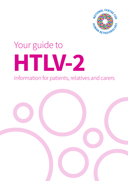

# Your guide to **HTLV-2** Information for patients, relatives and carers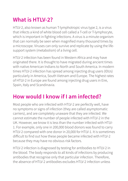# **What is HTLV-2?**

HTLV-2, also known as human T-lymphotropic virus type 2, is a virus that infects a kind of white blood cell called a T-cell or T-lymphocyte, which is important in fighting infections. A virus is a minute organism that can normally be seen when magnified many thousand times by a microscope. Viruses can only survive and replicate by using the lifesupport system (metabolism) of a living cell.

HTLV-2 infection has been found in Western Africa and may have originated there. It is thought to have migrated during ancient times with native American Indians to North and South America. In modern times HTLV-2 infection has spread among injecting drug users (IDUs) particularly in America, South Vietnam and Europe. The highest rates of HTLV-2 in Europe are found among injecting drug users in Eire, Spain, Italy and Scandinavia.

## **How would I know if I am infected?**

Most people who are infected with HTLV-2 are perfectly well, have no symptoms or signs of infection (they are called asymptomatic carriers), and are completely unaware that they are infected. We cannot estimate the number of people infected with HTLV-2 in the UK. However, we know it is less than the number infected with HTLV-1. For example, only one in 200,000 blood donors was found to carry HTLV-2 compared with one donor in 20,000 for HTLV-1. It is sometimes difficult to find out how these people became infected with HTLV-2 because they may have no obvious risk factors.

HTLV-2 infection is diagnosed by testing for antibodies to HTLV-2 in the blood. The body responds to all kinds of infections by producing antibodies that recognise only that particular infection. Therefore, the absence of HTLV-2 antibodies excludes HTLV-2 infection unless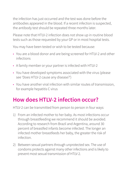the infection has just occurred and the test was done before the antibodies appeared in the blood. If a recent infection is suspected, the antibody test should be repeated three months later.

Please note that HTLV-2 infection does not show up in routine blood tests such as those requested by your GP or in most hospital tests.

You may have been tested or wish to be tested because:

- You are a blood donor and are being screened for HTLV-2 and other infections
- A family member or your partner is infected with HTLV-2
- You have developed symptoms associated with the virus (please see 'Does HTLV-2 cause any disease?')
- You have another viral infection with similar routes of transmission, for example hepatitis C virus

## **How does HTLV-2 infection occur?**

HTLV-2 can be transmitted from person to person in four ways:

- 1) From an infected mother to her baby. As most infections occur through breastfeeding we recommend it should be avoided. According to research from Brazil and Argentina, around 30 percent of breastfed infants become infected. The longer an infected mother breastfeeds her baby, the greater the risk of infection.
- 2) Between sexual partners through unprotected sex. The use of condoms protects against many other infections and is likely to prevent most sexual transmission of HTLV-2.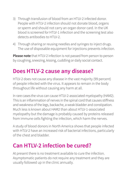- 3) Through transfusion of blood from an HTLV-2 infected donor. People with HTLV-2 infection should not donate blood, organs or sperm and should not carry an organ donor card. In the UK blood is screened for HTLV-1 infection and the screening test also detects antibodies to HTLV-2.
- 4) Through sharing or reusing needles and syringes to inject drugs. The use of disposable equipment for injections prevents infection.

**Please note** that HTLV-2 infection is not passed from person to person by coughing, sneezing, kissing, cuddling or daily social contact.

## **Does HTLV-2 cause any disease?**

HTLV-2 does not cause any disease in the vast majority (99 percent) of people infected with the virus. It appears to remain in the body throughout life without causing any harm at all.

In rare cases the virus can cause HTLV-2-associated myelopathy (HAM2). This is an inflammation of nerves in the spinal cord that causes stiffness and weakness of the legs, backache, a weak bladder and constipation. Much less is known about HAM2 than about HTLV-1-associated myelopathy but the damage is probably caused by proteins released from immune cells fighting the infection, which harm the nerves.

A study of blood donors in North America shows that people infected with HTLV-2 have an increased risk of bacterial infections, particularly of the chest and bladder.

## **Can HTLV-2 infection be cured?**

At present there is no treatment available to cure the infection. Asymptomatic patients do not require any treatment and they are usually followed up in the clinic annually.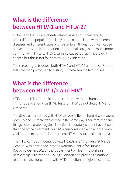# **What is the difference between HTLV-1 and HTLV-2?**

HTLV-1 and HTLV-2 are closely related viruses but they tend to affect different populations. They are also associated with different diseases and different rates of disease. Even though both can cause a myelopathy, an inflammation of the spinal cord, this is much more common with HTLV-1. HTLV-1 can also cause leukaemia, a blood cancer, but this is not found with HTLV-2 infection.

The screening tests detect both HTLV-1 and HTLV-2 antibodies. Further tests are then performed to distinguish between the two viruses.

# **What is the difference between HTLV-1/2 and HIV?**

HTLV-1 and HTLV-2 should not be confused with the human immunodeficiency virus (HIV). Tests for HTLV do not detect HIV and vice versa.

The diseases associated with HTLV are very different from HIV. However, both HIV and HTLV are transmitted in the same way. Therefore, the same things help to protect against infection. Laboratory studies have shown that one of the treatments for HIV, when combined with another antiviral treatment, is useful for treatment HTLV-1-associated leukaemia.

The HTLV clinic at Imperial College Healthcare NHS Trust, St Mary's Hospital was developed into the National Centre for Human Retrovirology in 2002 by the Department of Health. It works in partnership with Imperial College London and provides a national referral service for patients with HTLV infection to regional centres.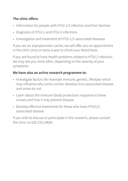### **The clinic offers:**

- Information for people with HTLV-1/2 infection and their families
- Diagnosis of HTLV-1 and HTLV-2 infections
- Investigation and treatment of HTLV-1/2-associated diseases

If you are an asymptomatic carrier, we will offer you an appointment in the clinic once or twice a year to check your blood tests.

If you are found to have health problems related to HTLV-2 infection, we may see you more often, depending on the severity of your symptoms.

### **We have also an active research programme to:**

- Investigate factors (for example immune, genetic, lifestyle) which may influence why some carriers develop virus-associated disease and some do not
- Learn about the immune (body protection) response to these viruses and how it may prevent disease
- Develop effective treatments for those who have HTLV1/2 associated disease

If you wish to discuss or participate in this research, please contact the clinic on 020 3312 6604.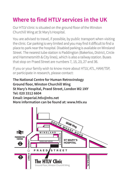# **Where to find HTLV services in the UK**

Our HTLV clinic is situated on the ground floor of the Winston Churchill Wing at St Mary's Hospital.

You are advised to travel, if possible, by public transport when visiting the clinic. Car parking is very limited and you may find it difficult to find a place to park near the hospital. Disabled parking is available on Winsland Street. The nearest tube station is Paddington (Bakerloo, District, Circle and Hammersmith & City lines), which is also a railway station. Buses that stop on Praed Street are numbers 7, 15, 23, 27 and 36.

If you or your family wish to know more about HTLV, ATL, HAM/TSP, or participate in research, please contact:

**The National Centre for Human Retrovirology Ground floor, Winston Churchill Wing St Mary's Hospital, Praed Street, London W2 1NY Tel: 020 3312 6604 Email: imperial.htlv@nhs.net More information can be found at: www.htlv.eu**